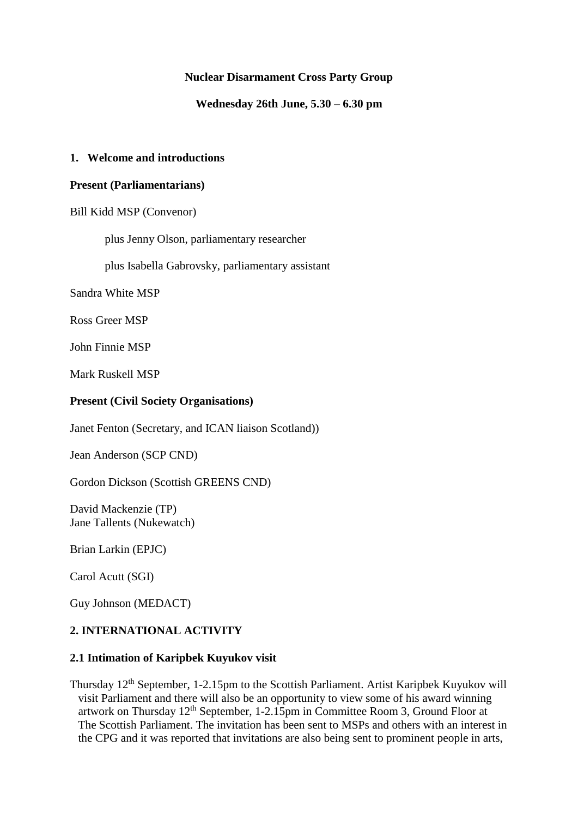### **Nuclear Disarmament Cross Party Group**

**Wednesday 26th June, 5.30 – 6.30 pm**

### **1. Welcome and introductions**

### **Present (Parliamentarians)**

Bill Kidd MSP (Convenor)

plus Jenny Olson, parliamentary researcher

plus Isabella Gabrovsky, parliamentary assistant

Sandra White MSP

Ross Greer MSP

John Finnie MSP

Mark Ruskell MSP

### **Present (Civil Society Organisations)**

Janet Fenton (Secretary, and ICAN liaison Scotland))

Jean Anderson (SCP CND)

Gordon Dickson (Scottish GREENS CND)

David Mackenzie (TP) Jane Tallents (Nukewatch)

Brian Larkin (EPJC)

Carol Acutt (SGI)

Guy Johnson (MEDACT)

### **2. INTERNATIONAL ACTIVITY**

### **2.1 Intimation of Karipbek Kuyukov visit**

Thursday 12th September, 1-2.15pm to the Scottish Parliament. Artist Karipbek Kuyukov will visit Parliament and there will also be an opportunity to view some of his award winning artwork on Thursday  $12<sup>th</sup>$  September, 1-2.15pm in Committee Room 3, Ground Floor at The Scottish Parliament. The invitation has been sent to MSPs and others with an interest in the CPG and it was reported that invitations are also being sent to prominent people in arts,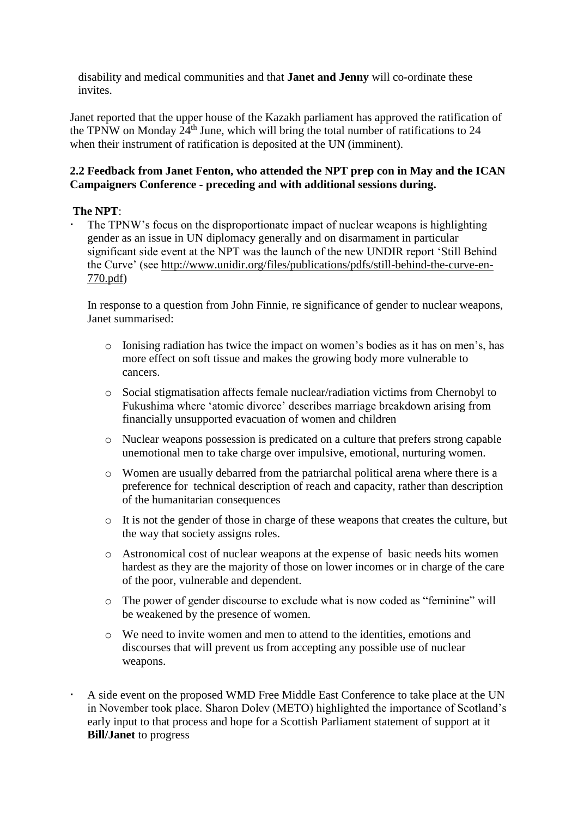disability and medical communities and that **Janet and Jenny** will co-ordinate these invites.

Janet reported that the upper house of the Kazakh parliament has approved the ratification of the TPNW on Monday  $24<sup>th</sup>$  June, which will bring the total number of ratifications to 24 when their instrument of ratification is deposited at the UN (imminent).

## **2.2 Feedback from Janet Fenton, who attended the NPT prep con in May and the ICAN Campaigners Conference - preceding and with additional sessions during.**

## **The NPT**:

 The TPNW's focus on the disproportionate impact of nuclear weapons is highlighting gender as an issue in UN diplomacy generally and on disarmament in particular significant side event at the NPT was the launch of the new UNDIR report 'Still Behind the Curve' (see [http://www.unidir.org/files/publications/pdfs/still-behind-the-curve-en-](http://www.unidir.org/files/publications/pdfs/still-behind-the-curve-en-770.pdf)[770.pdf\)](http://www.unidir.org/files/publications/pdfs/still-behind-the-curve-en-770.pdf)

In response to a question from John Finnie, re significance of gender to nuclear weapons, Janet summarised:

- o Ionising radiation has twice the impact on women's bodies as it has on men's, has more effect on soft tissue and makes the growing body more vulnerable to cancers.
- o Social stigmatisation affects female nuclear/radiation victims from Chernobyl to Fukushima where 'atomic divorce' describes marriage breakdown arising from financially unsupported evacuation of women and children
- o Nuclear weapons possession is predicated on a culture that prefers strong capable unemotional men to take charge over impulsive, emotional, nurturing women.
- o Women are usually debarred from the patriarchal political arena where there is a preference for technical description of reach and capacity, rather than description of the humanitarian consequences
- o It is not the gender of those in charge of these weapons that creates the culture, but the way that society assigns roles.
- o Astronomical cost of nuclear weapons at the expense of basic needs hits women hardest as they are the majority of those on lower incomes or in charge of the care of the poor, vulnerable and dependent.
- o The power of gender discourse to exclude what is now coded as "feminine" will be weakened by the presence of women.
- o We need to invite women and men to attend to the identities, emotions and discourses that will prevent us from accepting any possible use of nuclear weapons.
- A side event on the proposed WMD Free Middle East Conference to take place at the UN in November took place. Sharon Dolev (METO) highlighted the importance of Scotland's early input to that process and hope for a Scottish Parliament statement of support at it **Bill/Janet** to progress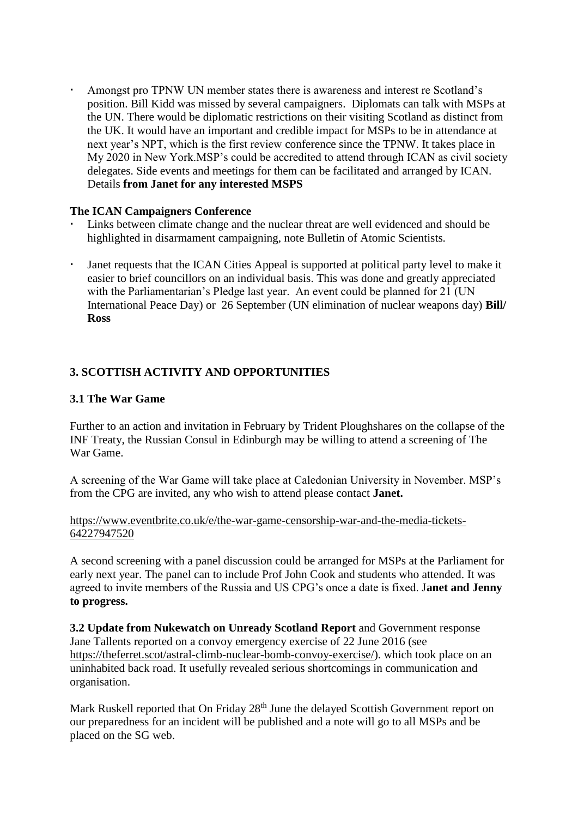Amongst pro TPNW UN member states there is awareness and interest re Scotland's position. Bill Kidd was missed by several campaigners. Diplomats can talk with MSPs at the UN. There would be diplomatic restrictions on their visiting Scotland as distinct from the UK. It would have an important and credible impact for MSPs to be in attendance at next year's NPT, which is the first review conference since the TPNW. It takes place in My 2020 in New York.MSP's could be accredited to attend through ICAN as civil society delegates. Side events and meetings for them can be facilitated and arranged by ICAN. Details **from Janet for any interested MSPS**

## **The ICAN Campaigners Conference**

- Links between climate change and the nuclear threat are well evidenced and should be highlighted in disarmament campaigning, note Bulletin of Atomic Scientists.
- Janet requests that the ICAN Cities Appeal is supported at political party level to make it easier to brief councillors on an individual basis. This was done and greatly appreciated with the Parliamentarian's Pledge last year. An event could be planned for 21 (UN International Peace Day) or 26 September (UN elimination of nuclear weapons day) **Bill/ Ross**

## **3. SCOTTISH ACTIVITY AND OPPORTUNITIES**

### **3.1 The War Game**

Further to an action and invitation in February by Trident Ploughshares on the collapse of the INF Treaty, the Russian Consul in Edinburgh may be willing to attend a screening of The War Game.

A screening of the War Game will take place at Caledonian University in November. MSP's from the CPG are invited, any who wish to attend please contact **Janet.** 

#### [https://www.eventbrite.co.uk/e/the-war-game-censorship-war-and-the-media-tickets-](https://www.eventbrite.co.uk/e/the-war-game-censorship-war-and-the-media-tickets-64227947520)[64227947520](https://www.eventbrite.co.uk/e/the-war-game-censorship-war-and-the-media-tickets-64227947520)

A second screening with a panel discussion could be arranged for MSPs at the Parliament for early next year. The panel can to include Prof John Cook and students who attended. It was agreed to invite members of the Russia and US CPG's once a date is fixed. J**anet and Jenny to progress.**

**3.2 Update from Nukewatch on Unready Scotland Report** and Government response Jane Tallents reported on a convoy emergency exercise of 22 June 2016 (see [https://theferret.scot/astral-climb-nuclear-bomb-convoy-exercise/\)](https://theferret.scot/astral-climb-nuclear-bomb-convoy-exercise/). which took place on an uninhabited back road. It usefully revealed serious shortcomings in communication and organisation.

Mark Ruskell reported that On Friday 28<sup>th</sup> June the delayed Scottish Government report on our preparedness for an incident will be published and a note will go to all MSPs and be placed on the SG web.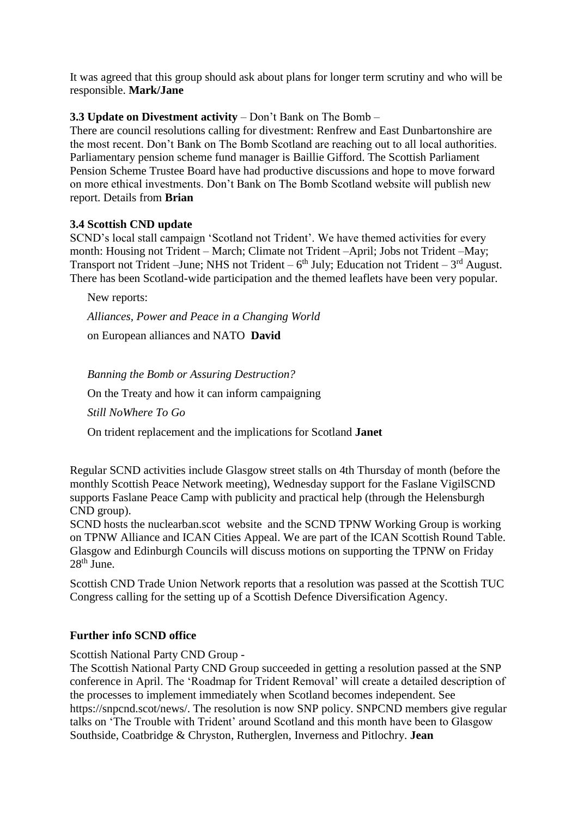It was agreed that this group should ask about plans for longer term scrutiny and who will be responsible. **Mark/Jane**

## **3.3 Update on Divestment activity** – Don't Bank on The Bomb –

There are council resolutions calling for divestment: Renfrew and East Dunbartonshire are the most recent. Don't Bank on The Bomb Scotland are reaching out to all local authorities. Parliamentary pension scheme fund manager is Baillie Gifford. The Scottish Parliament Pension Scheme Trustee Board have had productive discussions and hope to move forward on more ethical investments. Don't Bank on The Bomb Scotland website will publish new report. Details from **Brian**

## **3.4 Scottish CND update**

SCND's local stall campaign 'Scotland not Trident'. We have themed activities for every month: Housing not Trident – March; Climate not Trident –April; Jobs not Trident –May; Transport not Trident – June; NHS not Trident –  $6<sup>th</sup>$  July; Education not Trident –  $3<sup>rd</sup>$  August. There has been Scotland-wide participation and the themed leaflets have been very popular.

New reports:

*Alliances, Power and Peace in a Changing World*

on European alliances and NATO **David**

*Banning the Bomb or Assuring Destruction?* On the Treaty and how it can inform campaigning *Still NoWhere To Go* On trident replacement and the implications for Scotland **Janet**

Regular SCND activities include Glasgow street stalls on 4th Thursday of month (before the monthly Scottish Peace Network meeting), Wednesday support for the Faslane VigilSCND supports Faslane Peace Camp with publicity and practical help (through the Helensburgh CND group).

SCND hosts the nuclearban.scot website and the SCND TPNW Working Group is working on TPNW Alliance and ICAN Cities Appeal. We are part of the ICAN Scottish Round Table. Glasgow and Edinburgh Councils will discuss motions on supporting the TPNW on Friday  $28<sup>th</sup>$  June.

Scottish CND Trade Union Network reports that a resolution was passed at the Scottish TUC Congress calling for the setting up of a Scottish Defence Diversification Agency.

# **Further info SCND office**

Scottish National Party CND Group -

The Scottish National Party CND Group succeeded in getting a resolution passed at the SNP conference in April. The 'Roadmap for Trident Removal' will create a detailed description of the processes to implement immediately when Scotland becomes independent. See https://snpcnd.scot/news/. The resolution is now SNP policy. SNPCND members give regular talks on 'The Trouble with Trident' around Scotland and this month have been to Glasgow Southside, Coatbridge & Chryston, Rutherglen, Inverness and Pitlochry. **Jean**